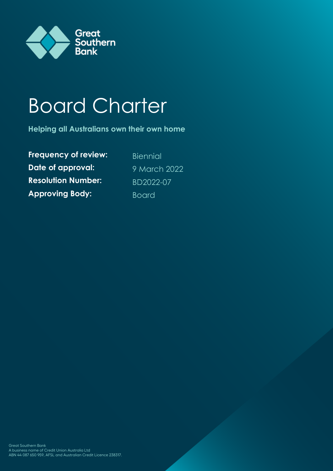

# Board Charter

**Helping all Australians own their own home**

**Frequency of review:** Biennial **Date of approval:** 9 March 2022 **Resolution Number:** BD2022-07 **Approving Body: Board**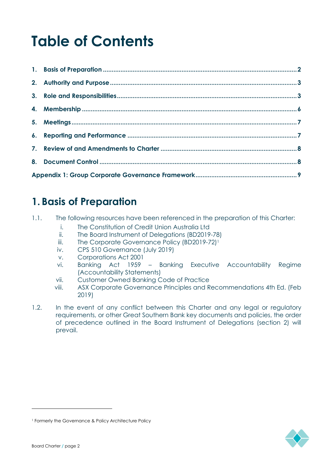## **Table of Contents**

## **1. Basis of Preparation**

- 1.1. The following resources have been referenced in the preparation of this Charter:
	- i. The Constitution of Credit Union Australia Ltd
	- ii. The Board Instrument of Delegations (BD2019-78)
	- iii. The Corporate Governance Policy (BD2019-72)<sup>1</sup>
	- iv. CPS 510 Governance (July 2019)
	- v. Corporations Act 2001
	- vi. Banking Act 1959 Banking Executive Accountability Regime (Accountability Statements)
	- vii. Customer Owned Banking Code of Practice
	- viii. ASX Corporate Governance Principles and Recommendations 4th Ed. (Feb 2019)
- 1.2. In the event of any conflict between this Charter and any legal or regulatory requirements, or other Great Southern Bank key documents and policies, the order of precedence outlined in the Board Instrument of Delegations (section 2) will prevail.



<sup>1</sup> Formerly the Governance & Policy Architecture Policy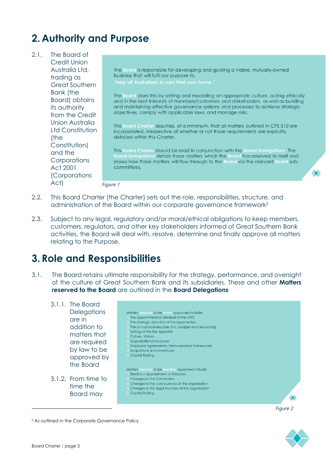## **2. Authority and Purpose**

- 2.1. The Board of Credit Union Australia Ltd, The Board is responsible for developing and guiding a viable, mutually-owned business that will fulfil our purpose to, trading as Great Southern Bank (the The Board does this by setting and modelling an appropriate culture, acting ethically Board) obtains and in the best interests of members/customers and stakeholders, as well as building its authority and maintaining effective governance systems and processes to achieve strategic objectives, comply with applicable laws, and manage risks. from the Credit Union Australia This Board Charter assumes, at a minimum, that all matters outlined in CPS 510 are Ltd Constitution incorporated, irrespective of whether or not those requirements are explicitly detailed within this Charter. (the Constitution) This Board Charter should be read in conjunction with the Board Delegations. The and the Board Delegations details those matters which the Board has reserved to itself and<br>shows how those matters will flow through to the Board via the relevant Board sub-**Corporations** committees. Act 2001 (Corporations Act) *Figure 1*
- 2.2. This Board Charter (the Charter) sets out the role, responsibilities, structure, and administration of the Board within our corporate governance framework<sup>2</sup>
- 2.3. Subject to any legal, regulatory and/or moral/ethical obligations to keep members, customers, regulators, and other key stakeholders informed of Great Southern Bank activities, the Board will deal with, resolve, determine and finally approve all matters relating to the Purpose.

## **3. Role and Responsibilities**

3.1. The Board retains ultimate responsibility for the strategy, performance, and oversight of the culture of Great Southern Bank and its subsidiaries. These and other **Matters reserved to the Board** are outlined in the **Board Delegations**

3.1.1. The Board **Delegations** Matters required to be Board approved include: The appointment or dismissal of the CEO are in The strategic direction of the organisation addition to The annual business plan (inc. budget and resourcing) Setting of the Risk Appetite matters that Culture, Values Organisational structures are required Employee agreements / Remuneration Frameworks by law to be Acquisitions and divestitures Capital Raising approved by the Board Matters required to be Member approved include: Election / appointment of Directors 3.1.2. From time to Changes to the Constitution Changes to the core business of the organisation time the Changes to the legal structure of the organisation Board may Capital Raisina **SC** 

*Figure 2*

 $\bullet$ 

2 As outlined in the Corporate Governance Policy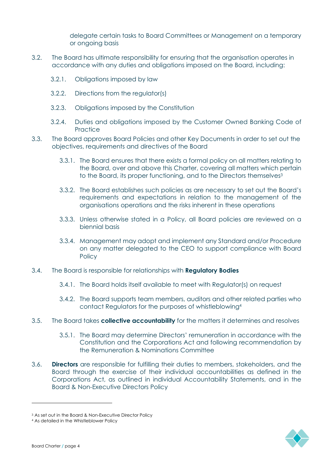delegate certain tasks to Board Committees or Management on a temporary or ongoing basis

- 3.2. The Board has ultimate responsibility for ensuring that the organisation operates in accordance with any duties and obligations imposed on the Board, including:
	- 3.2.1. Obligations imposed by law
	- 3.2.2. Directions from the regulator(s)
	- 3.2.3. Obligations imposed by the Constitution
	- 3.2.4. Duties and obligations imposed by the Customer Owned Banking Code of **Practice**
- 3.3. The Board approves Board Policies and other Key Documents in order to set out the objectives, requirements and directives of the Board
	- 3.3.1. The Board ensures that there exists a formal policy on all matters relating to the Board, over and above this Charter, covering all matters which pertain to the Board, its proper functioning, and to the Directors themselves<sup>3</sup>
	- 3.3.2. The Board establishes such policies as are necessary to set out the Board's requirements and expectations in relation to the management of the organisations operations and the risks inherent in these operations
	- 3.3.3. Unless otherwise stated in a Policy, all Board policies are reviewed on a biennial basis
	- 3.3.4. Management may adopt and implement any Standard and/or Procedure on any matter delegated to the CEO to support compliance with Board **Policy**
- 3.4. The Board is responsible for relationships with **Regulatory Bodies**
	- 3.4.1. The Board holds itself available to meet with Regulator(s) on request
	- 3.4.2. The Board supports team members, auditors and other related parties who contact Regulators for the purposes of whistleblowing<sup>4</sup>
- 3.5. The Board takes **collective accountability** for the matters it determines and resolves
	- 3.5.1. The Board may determine Directors' remuneration in accordance with the Constitution and the Corporations Act and following recommendation by the Remuneration & Nominations Committee
- 3.6. **Directors** are responsible for fulfilling their duties to members, stakeholders, and the Board through the exercise of their individual accountabilities as defined in the Corporations Act, as outlined in individual Accountability Statements, and in the Board & Non-Executive Directors Policy



<sup>3</sup> As set out in the Board & Non-Executive Director Policy

<sup>4</sup> As detailed in the Whistleblower Policy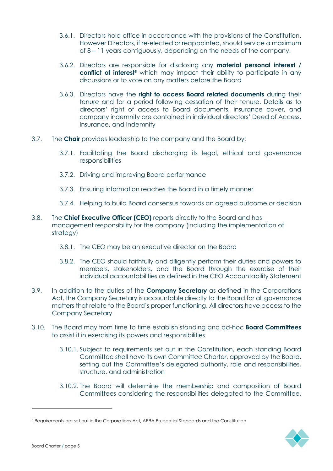- 3.6.1. Directors hold office in accordance with the provisions of the Constitution. However Directors, if re-elected or reappointed, should service a maximum of 8 – 11 years contiguously, depending on the needs of the company.
- 3.6.2. Directors are responsible for disclosing any **material personal interest / conflict of interest<sup>5</sup>** which may impact their ability to participate in any discussions or to vote on any matters before the Board
- 3.6.3. Directors have the **right to access Board related documents** during their tenure and for a period following cessation of their tenure. Details as to directors' right of access to Board documents, insurance cover, and company indemnity are contained in individual directors' Deed of Access, Insurance, and Indemnity
- 3.7. The **Chair** provides leadership to the company and the Board by:
	- 3.7.1. Facilitating the Board discharging its legal, ethical and governance responsibilities
	- 3.7.2. Driving and improving Board performance
	- 3.7.3. Ensuring information reaches the Board in a timely manner
	- 3.7.4. Helping to build Board consensus towards an agreed outcome or decision
- 3.8. The **Chief Executive Officer (CEO)** reports directly to the Board and has management responsibility for the company (including the implementation of strategy)
	- 3.8.1. The CEO may be an executive director on the Board
	- 3.8.2. The CEO should faithfully and diligently perform their duties and powers to members, stakeholders, and the Board through the exercise of their individual accountabilities as defined in the CEO Accountability Statement
- 3.9. In addition to the duties of the **Company Secretary** as defined in the Corporations Act, the Company Secretary is accountable directly to the Board for all governance matters that relate to the Board's proper functioning. All directors have access to the Company Secretary
- 3.10. The Board may from time to time establish standing and ad-hoc **Board Committees** to assist it in exercising its powers and responsibilities
	- 3.10.1. Subject to requirements set out in the Constitution, each standing Board Committee shall have its own Committee Charter, approved by the Board, setting out the Committee's delegated authority, role and responsibilities, structure, and administration
	- 3.10.2. The Board will determine the membership and composition of Board Committees considering the responsibilities delegated to the Committee,



<sup>5</sup> Requirements are set out in the Corporations Act, APRA Prudential Standards and the Constitution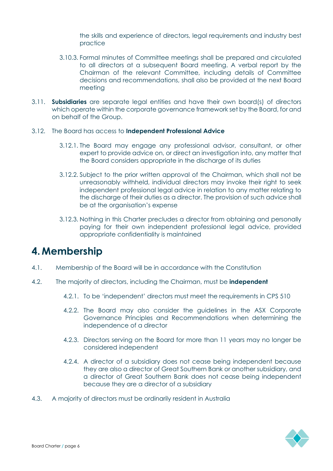the skills and experience of directors, legal requirements and industry best practice

- 3.10.3. Formal minutes of Committee meetings shall be prepared and circulated to all directors at a subsequent Board meeting. A verbal report by the Chairman of the relevant Committee, including details of Committee decisions and recommendations, shall also be provided at the next Board meeting
- 3.11. **Subsidiaries** are separate legal entities and have their own board(s) of directors which operate within the corporate governance framework set by the Board, for and on behalf of the Group.
- 3.12. The Board has access to **Independent Professional Advice**
	- 3.12.1. The Board may engage any professional advisor, consultant, or other expert to provide advice on, or direct an investigation into, any matter that the Board considers appropriate in the discharge of its duties
	- 3.12.2. Subject to the prior written approval of the Chairman, which shall not be unreasonably withheld, individual directors may invoke their right to seek independent professional legal advice in relation to any matter relating to the discharge of their duties as a director. The provision of such advice shall be at the organisation's expense
	- 3.12.3. Nothing in this Charter precludes a director from obtaining and personally paying for their own independent professional legal advice, provided appropriate confidentiality is maintained

## **4. Membership**

- 4.1. Membership of the Board will be in accordance with the Constitution
- 4.2. The majority of directors, including the Chairman, must be **independent**
	- 4.2.1. To be 'independent' directors must meet the requirements in CPS 510
	- 4.2.2. The Board may also consider the guidelines in the ASX Corporate Governance Principles and Recommendations when determining the independence of a director
	- 4.2.3. Directors serving on the Board for more than 11 years may no longer be considered independent
	- 4.2.4. A director of a subsidiary does not cease being independent because they are also a director of Great Southern Bank or another subsidiary, and a director of Great Southern Bank does not cease being independent because they are a director of a subsidiary
- 4.3. A majority of directors must be ordinarily resident in Australia

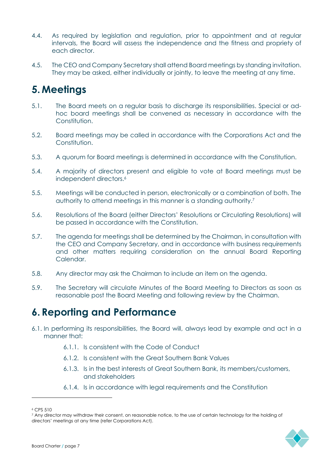- 4.4. As required by legislation and regulation, prior to appointment and at regular intervals, the Board will assess the independence and the fitness and propriety of each director.
- 4.5. The CEO and Company Secretary shall attend Board meetings by standing invitation. They may be asked, either individually or jointly, to leave the meeting at any time.

## **5. Meetings**

- 5.1. The Board meets on a regular basis to discharge its responsibilities. Special or adhoc board meetings shall be convened as necessary in accordance with the Constitution.
- 5.2. Board meetings may be called in accordance with the Corporations Act and the Constitution.
- 5.3. A quorum for Board meetings is determined in accordance with the Constitution.
- 5.4. A majority of directors present and eligible to vote at Board meetings must be independent directors.<sup>6</sup>
- 5.5. Meetings will be conducted in person, electronically or a combination of both. The authority to attend meetings in this manner is a standing authority.<sup>7</sup>
- 5.6. Resolutions of the Board (either Directors' Resolutions or Circulating Resolutions) will be passed in accordance with the Constitution.
- 5.7. The agenda for meetings shall be determined by the Chairman, in consultation with the CEO and Company Secretary, and in accordance with business requirements and other matters requiring consideration on the annual Board Reporting Calendar.
- 5.8. Any director may ask the Chairman to include an item on the agenda.
- 5.9. The Secretary will circulate Minutes of the Board Meeting to Directors as soon as reasonable post the Board Meeting and following review by the Chairman.

## **6. Reporting and Performance**

- 6.1. In performing its responsibilities, the Board will, always lead by example and act in a manner that:
	- 6.1.1. Is consistent with the Code of Conduct
	- 6.1.2. Is consistent with the Great Southern Bank Values
	- 6.1.3. Is in the best interests of Great Southern Bank, its members/customers, and stakeholders
	- 6.1.4. Is in accordance with legal requirements and the Constitution

<sup>7</sup> Any director may withdraw their consent, on reasonable notice, to the use of certain technology for the holding of directors' meetings at any time (refer Corporations Act).



<sup>6</sup> CPS 510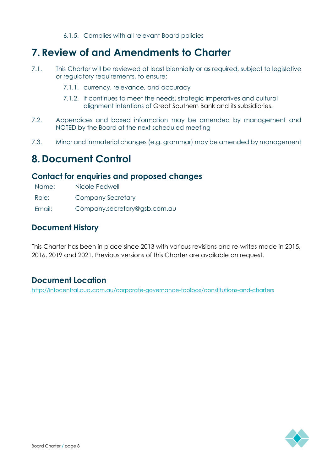#### 6.1.5. Complies with all relevant Board policies

## **7. Review of and Amendments to Charter**

- 7.1. This Charter will be reviewed at least biennially or as required, subject to legislative or regulatory requirements, to ensure:
	- 7.1.1. currency, relevance, and accuracy
	- 7.1.2. it continues to meet the needs, strategic imperatives and cultural alignment intentions of Great Southern Bank and its subsidiaries.
- 7.2. Appendices and boxed information may be amended by management and NOTED by the Board at the next scheduled meeting
- 7.3. Minor and immaterial changes (e.g. grammar) may be amended by management

### **8. Document Control**

#### **Contact for enquiries and proposed changes**

Name: Nicole Pedwell

Role: Company Secretary

Email: Company.secretary@gsb.com.au

#### **Document History**

This Charter has been in place since 2013 with various revisions and re-writes made in 2015, 2016, 2019 and 2021. Previous versions of this Charter are available on request.

#### **Document Location**

http://infocentral.cua.com.au/corporate-governance-toolbox/constitutions-and-charters